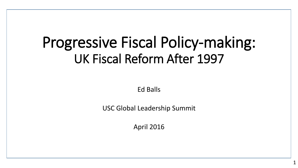# Progressive Fiscal Policy-making: UK Fiscal Reform After 1997

Ed Balls

USC Global Leadership Summit

April 2016

1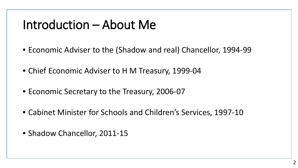#### Introduction – About Me

- Economic Adviser to the (Shadow and real) Chancellor, 1994-99
- Chief Economic Adviser to H M Treasury, 1999-04
- Economic Secretary to the Treasury, 2006-07
- Cabinet Minister for Schools and Children's Services, 1997-10
- Shadow Chancellor, 2011-15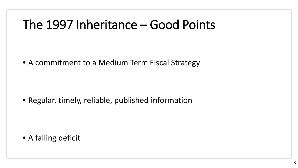#### The 1997 Inheritance – Good Points

• A commitment to a Medium Term Fiscal Strategy

• Regular, timely, reliable, published information

• A falling deficit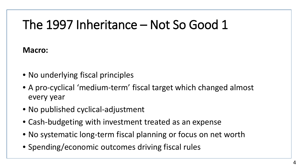## The 1997 Inheritance – Not So Good 1

#### **Macro:**

- No underlying fiscal principles
- A pro-cyclical 'medium-term' fiscal target which changed almost every year
- No published cyclical-adjustment
- Cash-budgeting with investment treated as an expense
- No systematic long-term fiscal planning or focus on net worth
- Spending/economic outcomes driving fiscal rules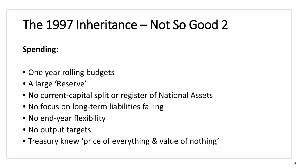## The 1997 Inheritance – Not So Good 2

#### **Spending:**

- One year rolling budgets
- A large 'Reserve'
- No current-capital split or register of National Assets
- No focus on long-term liabilities falling
- No end-year flexibility
- No output targets
- Treasury knew 'price of everything & value of nothing'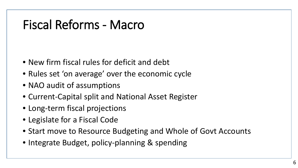### Fiscal Reforms - Macro

- New firm fiscal rules for deficit and debt
- Rules set 'on average' over the economic cycle
- NAO audit of assumptions
- Current-Capital split and National Asset Register
- Long-term fiscal projections
- Legislate for a Fiscal Code
- Start move to Resource Budgeting and Whole of Govt Accounts
- Integrate Budget, policy-planning & spending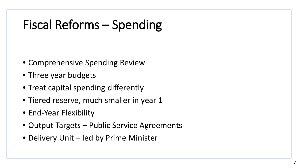# Fiscal Reforms – Spending

- Comprehensive Spending Review
- Three year budgets

 $\overline{a}$ 

- Treat capital spending differently
- Tiered reserve, much smaller in year 1
- End-Year Flexibility
- Output Targets Public Service Agreements
- Delivery Unit led by Prime Minister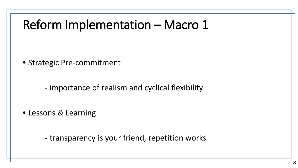#### Reform Implementation – Macro 1

• Strategic Pre-commitment

- importance of realism and cyclical flexibility

• Lessons & Learning

 $\overline{a}$ 

- transparency is your friend, repetition works

8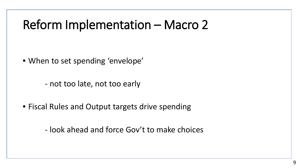#### Reform Implementation – Macro 2

• When to set spending 'envelope'

 $\overline{a}$ 

- not too late, not too early

• Fiscal Rules and Output targets drive spending

- look ahead and force Gov't to make choices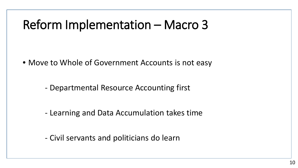#### Reform Implementation – Macro 3

 $\overline{a}$ 

• Move to Whole of Government Accounts is not easy

- Departmental Resource Accounting first

- Learning and Data Accumulation takes time

- Civil servants and politicians do learn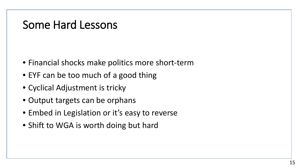#### Some Hard Lessons

- Financial shocks make politics more short-term
- EYF can be too much of a good thing
- Cyclical Adjustment is tricky
- Output targets can be orphans
- Embed in Legislation or it's easy to reverse
- Shift to WGA is worth doing but hard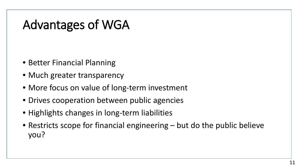### Advantages of WGA

- Better Financial Planning
- Much greater transparency
- More focus on value of long-term investment
- Drives cooperation between public agencies
- Highlights changes in long-term liabilities
- Restricts scope for financial engineering but do the public believe you?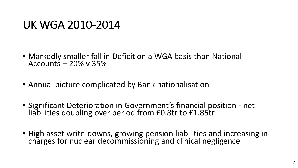#### UK WGA 2010-2014

- Markedly smaller fall in Deficit on a WGA basis than National Accounts  $-20\%$  v 35%
- Annual picture complicated by Bank nationalisation
- Significant Deterioration in Government's financial position net liabilities doubling over period from £0.8tr to £1.85tr
- High asset write-downs, growing pension liabilities and increasing in charges for nuclear decommissioning and clinical negligence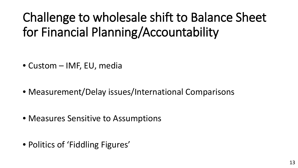# Challenge to wholesale shift to Balance Sheet for Financial Planning/Accountability

- Custom IMF, EU, media
- Measurement/Delay issues/International Comparisons

- Measures Sensitive to Assumptions
- Politics of 'Fiddling Figures'